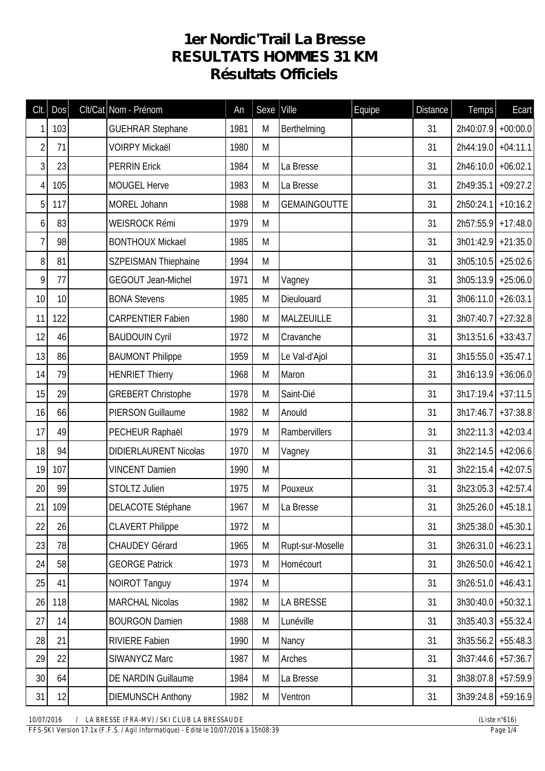## **1er Nordic'Trail La Bresse RESULTATS HOMMES 31 KM Résultats Officiels**

| Clt.           | Dos | Clt/Cat Nom - Prénom         | An   | Sexe | Ville               | Equipe | <b>Distance</b> | Temps                 | Ecart      |
|----------------|-----|------------------------------|------|------|---------------------|--------|-----------------|-----------------------|------------|
| 1              | 103 | <b>GUEHRAR Stephane</b>      | 1981 | M    | Berthelming         |        | 31              | 2h40:07.9             | $+00:00.0$ |
| $\overline{2}$ | 71  | <b>VOIRPY Mickaël</b>        | 1980 | M    |                     |        | 31              | 2h44:19.0             | $+04:11.1$ |
| 3              | 23  | <b>PERRIN Erick</b>          | 1984 | M    | La Bresse           |        | 31              | 2h46:10.0             | $+06:02.1$ |
| $\overline{4}$ | 105 | <b>MOUGEL Herve</b>          | 1983 | M    | La Bresse           |        | 31              | 2h49:35.1             | $+09:27.2$ |
| 5              | 117 | MOREL Johann                 | 1988 | M    | <b>GEMAINGOUTTE</b> |        | 31              | 2h50:24.1             | $+10:16.2$ |
| 6              | 83  | WEISROCK Rémi                | 1979 | M    |                     |        | 31              | 2h57:55.9             | $+17:48.0$ |
| $\overline{1}$ | 98  | <b>BONTHOUX Mickael</b>      | 1985 | M    |                     |        | 31              | $3h01:42.9$ +21:35.0  |            |
| 8              | 81  | SZPEISMAN Thiephaine         | 1994 | M    |                     |        | 31              | $3h05:10.5$ +25:02.6  |            |
| 9              | 77  | <b>GEGOUT Jean-Michel</b>    | 1971 | M    | Vagney              |        | 31              | $3h05:13.9$ +25:06.0  |            |
| 10             | 10  | <b>BONA Stevens</b>          | 1985 | M    | Dieulouard          |        | 31              | 3h06:11.0             | $+26:03.1$ |
| 11             | 122 | <b>CARPENTIER Fabien</b>     | 1980 | M    | MALZEUILLE          |        | 31              | 3h07:40.7             | $+27:32.8$ |
| 12             | 46  | <b>BAUDOUIN Cyril</b>        | 1972 | M    | Cravanche           |        | 31              | $3h13:51.6$ + 33:43.7 |            |
| 13             | 86  | <b>BAUMONT Philippe</b>      | 1959 | M    | Le Val-d'Ajol       |        | 31              | $3h15:55.0$ + 35:47.1 |            |
| 14             | 79  | <b>HENRIET Thierry</b>       | 1968 | M    | Maron               |        | 31              | 3h16:13.9             | $+36:06.0$ |
| 15             | 29  | <b>GREBERT Christophe</b>    | 1978 | M    | Saint-Dié           |        | 31              | 3h17:19.4             | $+37:11.5$ |
| 16             | 66  | <b>PIERSON Guillaume</b>     | 1982 | M    | Anould              |        | 31              | 3h17:46.7             | $+37:38.8$ |
| 17             | 49  | PECHEUR Raphaël              | 1979 | M    | Rambervillers       |        | 31              | 3h22:11.3             | $+42:03.4$ |
| 18             | 94  | <b>DIDIERLAURENT Nicolas</b> | 1970 | M    | Vagney              |        | 31              | 3h22:14.5             | $+42:06.6$ |
| 19             | 107 | <b>VINCENT Damien</b>        | 1990 | M    |                     |        | 31              | 3h22:15.4             | $+42:07.5$ |
| 20             | 99  | STOLTZ Julien                | 1975 | M    | Pouxeux             |        | 31              | $3h23:05.3$ +42:57.4  |            |
| 21             | 109 | DELACOTE Stéphane            | 1967 | M    | La Bresse           |        | 31              | $3h25:26.0$ +45:18.1  |            |
| 22             | 26  | <b>CLAVERT Philippe</b>      | 1972 | M    |                     |        | 31              | 3h25:38.0             | $+45:30.1$ |
| 23             | 78  | <b>CHAUDEY Gérard</b>        | 1965 | M    | Rupt-sur-Moselle    |        | 31              | 3h26:31.0             | $+46:23.1$ |
| 24             | 58  | <b>GEORGE Patrick</b>        | 1973 | M    | Homécourt           |        | 31              | 3h26:50.0             | $+46:42.1$ |
| 25             | 41  | <b>NOIROT Tanguy</b>         | 1974 | M    |                     |        | 31              | $3h26:51.0$ +46:43.1  |            |
| 26             | 118 | <b>MARCHAL Nicolas</b>       | 1982 | M    | <b>LA BRESSE</b>    |        | 31              | 3h30:40.0             | $+50:32.1$ |
| 27             | 14  | <b>BOURGON Damien</b>        | 1988 | M    | Lunéville           |        | 31              | 3h35:40.3             | $+55:32.4$ |
| 28             | 21  | <b>RIVIERE Fabien</b>        | 1990 | M    | Nancy               |        | 31              | 3h35:56.2             | $+55:48.3$ |
| 29             | 22  | SIWANYCZ Marc                | 1987 | M    | Arches              |        | 31              | $3h37:44.6$ +57:36.7  |            |
| 30             | 64  | DE NARDIN Guillaume          | 1984 | M    | La Bresse           |        | 31              | 3h38:07.8             | $+57:59.9$ |
| 31             | 12  | <b>DIEMUNSCH Anthony</b>     | 1982 | M    | Ventron             |        | 31              | $3h39:24.8$ +59:16.9  |            |

*10/07/2016 / LA BRESSE (FRA-MV) / SKI CLUB LA BRESSAUDE (Liste n°616)*

*FFS-SKI Version 17.1x (F.F.S. / Agil Informatique) - Edité le 10/07/2016 à 15h08:39 Page 1/4*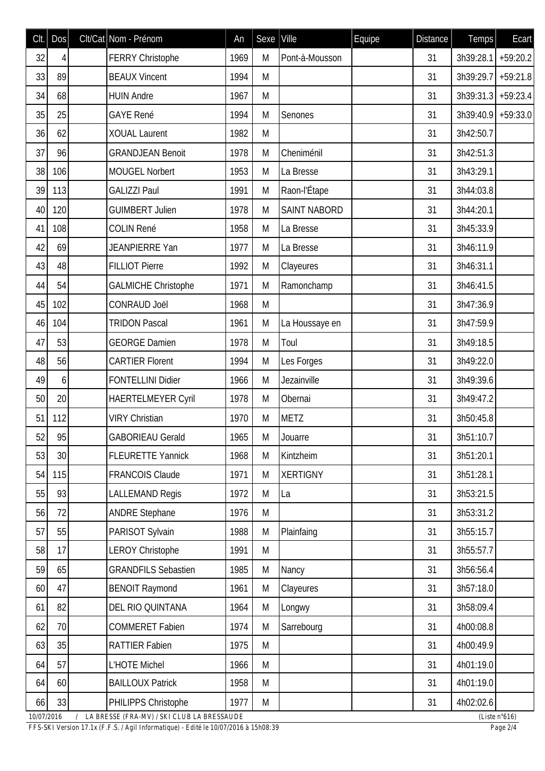| Clt. | Dos             | Clt/Cat Nom - Prénom       | An   | Sexe | Ville               | Equipe | <b>Distance</b> | Temps                | Ecart      |
|------|-----------------|----------------------------|------|------|---------------------|--------|-----------------|----------------------|------------|
| 32   | 4               | <b>FERRY Christophe</b>    | 1969 | M    | Pont-à-Mousson      |        | 31              | 3h39:28.1            | $+59:20.2$ |
| 33   | 89              | <b>BEAUX Vincent</b>       | 1994 | M    |                     |        | 31              | 3h39:29.7            | $+59:21.8$ |
| 34   | 68              | <b>HUIN Andre</b>          | 1967 | M    |                     |        | 31              | $3h39:31.3$ +59:23.4 |            |
| 35   | 25              | <b>GAYE René</b>           | 1994 | M    | Senones             |        | 31              | $3h39:40.9$ +59:33.0 |            |
| 36   | 62              | <b>XOUAL Laurent</b>       | 1982 | M    |                     |        | 31              | 3h42:50.7            |            |
| 37   | 96              | <b>GRANDJEAN Benoit</b>    | 1978 | M    | Cheniménil          |        | 31              | 3h42:51.3            |            |
| 38   | 106             | <b>MOUGEL Norbert</b>      | 1953 | M    | La Bresse           |        | 31              | 3h43:29.1            |            |
| 39   | 113             | <b>GALIZZI Paul</b>        | 1991 | M    | Raon-l'Étape        |        | 31              | 3h44:03.8            |            |
| 40   | 120             | <b>GUIMBERT Julien</b>     | 1978 | M    | <b>SAINT NABORD</b> |        | 31              | 3h44:20.1            |            |
| 41   | 108             | <b>COLIN René</b>          | 1958 | M    | La Bresse           |        | 31              | 3h45:33.9            |            |
| 42   | 69              | JEANPIERRE Yan             | 1977 | M    | La Bresse           |        | 31              | 3h46:11.9            |            |
| 43   | 48              | <b>FILLIOT Pierre</b>      | 1992 | M    | Clayeures           |        | 31              | 3h46:31.1            |            |
| 44   | 54              | <b>GALMICHE Christophe</b> | 1971 | M    | Ramonchamp          |        | 31              | 3h46:41.5            |            |
| 45   | 102             | <b>CONRAUD Joël</b>        | 1968 | M    |                     |        | 31              | 3h47:36.9            |            |
| 46   | 104             | <b>TRIDON Pascal</b>       | 1961 | M    | La Houssaye en      |        | 31              | 3h47:59.9            |            |
| 47   | 53              | <b>GEORGE Damien</b>       | 1978 | M    | Toul                |        | 31              | 3h49:18.5            |            |
| 48   | 56              | <b>CARTIER Florent</b>     | 1994 | M    | Les Forges          |        | 31              | 3h49:22.0            |            |
| 49   | 6               | <b>FONTELLINI Didier</b>   | 1966 | M    | Jezainville         |        | 31              | 3h49:39.6            |            |
| 50   | 20              | <b>HAERTELMEYER Cyril</b>  | 1978 | M    | Obernai             |        | 31              | 3h49:47.2            |            |
| 51   | 112             | <b>VIRY Christian</b>      | 1970 | M    | <b>METZ</b>         |        | 31              | 3h50:45.8            |            |
| 52   | 95              | <b>GABORIEAU Gerald</b>    | 1965 | M    | Jouarre             |        | 31              | 3h51:10.7            |            |
| 53   | 30 <sup>°</sup> | <b>FLEURETTE Yannick</b>   | 1968 | M    | Kintzheim           |        | 31              | 3h51:20.1            |            |
| 54   | 115             | <b>FRANCOIS Claude</b>     | 1971 | M    | <b>XERTIGNY</b>     |        | 31              | 3h51:28.1            |            |
| 55   | 93              | <b>LALLEMAND Regis</b>     | 1972 | M    | La                  |        | 31              | 3h53:21.5            |            |
| 56   | 72              | <b>ANDRE Stephane</b>      | 1976 | M    |                     |        | 31              | 3h53:31.2            |            |
| 57   | 55              | PARISOT Sylvain            | 1988 | M    | Plainfaing          |        | 31              | 3h55:15.7            |            |
| 58   | 17              | <b>LEROY Christophe</b>    | 1991 | M    |                     |        | 31              | 3h55:57.7            |            |
| 59   | 65              | <b>GRANDFILS Sebastien</b> | 1985 | M    | Nancy               |        | 31              | 3h56:56.4            |            |
| 60   | 47              | <b>BENOIT Raymond</b>      | 1961 | M    | Clayeures           |        | 31              | 3h57:18.0            |            |
| 61   | 82              | DEL RIO QUINTANA           | 1964 | M    | Longwy              |        | 31              | 3h58:09.4            |            |
| 62   | 70              | <b>COMMERET Fabien</b>     | 1974 | M    | Sarrebourg          |        | 31              | 4h00:08.8            |            |
| 63   | 35              | <b>RATTIER Fabien</b>      | 1975 | M    |                     |        | 31              | 4h00:49.9            |            |
| 64   | 57              | L'HOTE Michel              | 1966 | M    |                     |        | 31              | 4h01:19.0            |            |
| 64   | 60              | <b>BAILLOUX Patrick</b>    | 1958 | M    |                     |        | 31              | 4h01:19.0            |            |
| 66   | 33              | PHILIPPS Christophe        | 1977 | M    |                     |        | 31              | 4h02:02.6            |            |

*10/07/2016 / LA BRESSE (FRA-MV) / SKI CLUB LA BRESSAUDE (Liste n°616)*

*FFS-SKI Version 17.1x (F.F.S. / Agil Informatique) - Edité le 10/07/2016 à 15h08:39 Page 2/4*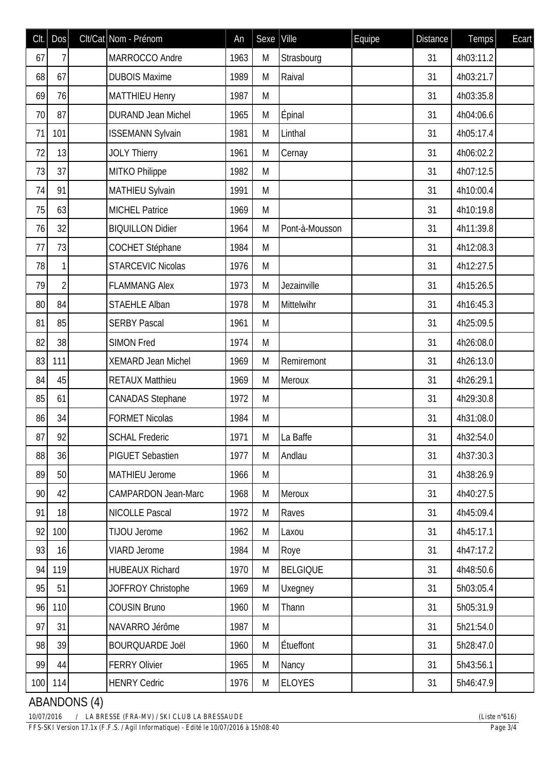| Clt. | Dos            | Clt/Cat Nom - Prénom       | An   | Sexe | Ville           | Equipe | <b>Distance</b> | Temps     | Ecart |
|------|----------------|----------------------------|------|------|-----------------|--------|-----------------|-----------|-------|
| 67   |                | MARROCCO Andre             | 1963 | M    | Strasbourg      |        | 31              | 4h03:11.2 |       |
| 68   | 67             | <b>DUBOIS Maxime</b>       | 1989 | M    | Raival          |        | 31              | 4h03:21.7 |       |
| 69   | 76             | <b>MATTHIEU Henry</b>      | 1987 | M    |                 |        | 31              | 4h03:35.8 |       |
| 70   | 87             | <b>DURAND Jean Michel</b>  | 1965 | M    | <b>Épinal</b>   |        | 31              | 4h04:06.6 |       |
| 71   | 101            | <b>ISSEMANN Sylvain</b>    | 1981 | M    | Linthal         |        | 31              | 4h05:17.4 |       |
| 72   | 13             | <b>JOLY Thierry</b>        | 1961 | M    | Cernay          |        | 31              | 4h06:02.2 |       |
| 73   | 37             | MITKO Philippe             | 1982 | M    |                 |        | 31              | 4h07:12.5 |       |
| 74   | 91             | MATHIEU Sylvain            | 1991 | M    |                 |        | 31              | 4h10:00.4 |       |
| 75   | 63             | <b>MICHEL Patrice</b>      | 1969 | M    |                 |        | 31              | 4h10:19.8 |       |
| 76   | 32             | <b>BIQUILLON Didier</b>    | 1964 | M    | Pont-à-Mousson  |        | 31              | 4h11:39.8 |       |
| 77   | 73             | <b>COCHET Stéphane</b>     | 1984 | M    |                 |        | 31              | 4h12:08.3 |       |
| 78   |                | <b>STARCEVIC Nicolas</b>   | 1976 | M    |                 |        | 31              | 4h12:27.5 |       |
| 79   | $\overline{2}$ | <b>FLAMMANG Alex</b>       | 1973 | M    | Jezainville     |        | 31              | 4h15:26.5 |       |
| 80   | 84             | <b>STAEHLE Alban</b>       | 1978 | M    | Mittelwihr      |        | 31              | 4h16:45.3 |       |
| 81   | 85             | <b>SERBY Pascal</b>        | 1961 | M    |                 |        | 31              | 4h25:09.5 |       |
| 82   | 38             | <b>SIMON Fred</b>          | 1974 | M    |                 |        | 31              | 4h26:08.0 |       |
| 83   | 111            | <b>XEMARD Jean Michel</b>  | 1969 | M    | Remiremont      |        | 31              | 4h26:13.0 |       |
| 84   | 45             | <b>RETAUX Matthieu</b>     | 1969 | M    | Meroux          |        | 31              | 4h26:29.1 |       |
| 85   | 61             | <b>CANADAS</b> Stephane    | 1972 | M    |                 |        | 31              | 4h29:30.8 |       |
| 86   | 34             | <b>FORMET Nicolas</b>      | 1984 | M    |                 |        | 31              | 4h31:08.0 |       |
| 87   | 92             | <b>SCHAL Frederic</b>      | 1971 | M    | La Baffe        |        | 31              | 4h32:54.0 |       |
| 88   | 36             | <b>PIGUET Sebastien</b>    | 1977 | M    | Andlau          |        | 31              | 4h37:30.3 |       |
| 89   | 50             | <b>MATHIEU Jerome</b>      | 1966 | M    |                 |        | 31              | 4h38:26.9 |       |
| 90   | 42             | <b>CAMPARDON Jean-Marc</b> | 1968 | M    | Meroux          |        | 31              | 4h40:27.5 |       |
| 91   | 18             | <b>NICOLLE Pascal</b>      | 1972 | M    | Raves           |        | 31              | 4h45:09.4 |       |
| 92   | 100            | TIJOU Jerome               | 1962 | M    | Laxou           |        | 31              | 4h45:17.1 |       |
| 93   | 16             | <b>VIARD Jerome</b>        | 1984 | M    | Roye            |        | 31              | 4h47:17.2 |       |
| 94   | 119            | <b>HUBEAUX Richard</b>     | 1970 | M    | <b>BELGIQUE</b> |        | 31              | 4h48:50.6 |       |
| 95   | 51             | JOFFROY Christophe         | 1969 | M    | Uxegney         |        | 31              | 5h03:05.4 |       |
| 96   | 110            | <b>COUSIN Bruno</b>        | 1960 | M    | Thann           |        | 31              | 5h05:31.9 |       |
| 97   | 31             | NAVARRO Jérôme             | 1987 | M    |                 |        | 31              | 5h21:54.0 |       |
| 98   | 39             | <b>BOURQUARDE Joël</b>     | 1960 | M    | Étueffont       |        | 31              | 5h28:47.0 |       |
| 99   | 44             | <b>FERRY Olivier</b>       | 1965 | M    | Nancy           |        | 31              | 5h43:56.1 |       |
| 100  | 114            | <b>HENRY Cedric</b>        | 1976 | M    | <b>ELOYES</b>   |        | 31              | 5h46:47.9 |       |

## ABANDONS (4)